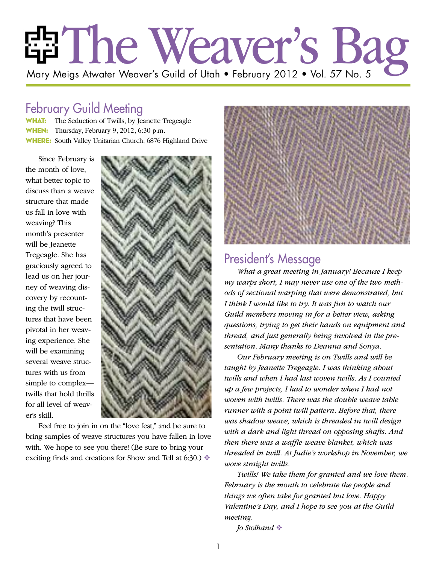# The Weaver's Bag Mary Meigs Atwater Weaver's Guild of Utah • February 2012 • Vol. 57 No. 5

## February Guild Meeting

WHAT: The Seduction of Twills, by Jeanette Tregeagle WHEN: Thursday, February 9, 2012, 6:30 p.m. WHERE: South Valley Unitarian Church, 6876 Highland Drive

Since February is the month of love, what better topic to discuss than a weave structure that made us fall in love with weaving? This month's presenter will be Jeanette Tregeagle. She has graciously agreed to lead us on her journey of weaving discovery by recounting the twill structures that have been pivotal in her weaving experience. She will be examining several weave structures with us from simple to complex twills that hold thrills for all level of weaver's skill.



Feel free to join in on the "love fest," and be sure to bring samples of weave structures you have fallen in love with. We hope to see you there! (Be sure to bring your exciting finds and creations for Show and Tell at 6:30.)  $\triangleleft$ 



## President's Message

*What a great meeting in January! Because I keep my warps short, I may never use one of the two methods of sectional warping that were demonstrated, but I think I would like to try. It was fun to watch our Guild members moving in for a better view, asking questions, trying to get their hands on equipment and thread, and just generally being involved in the presentation. Many thanks to Deanna and Sonya.*

*Our February meeting is on Twills and will be taught by Jeanette Tregeagle. I was thinking about twills and when I had last woven twills. As I counted up a few projects, I had to wonder when I had not woven with twills. There was the double weave table runner with a point twill pattern. Before that, there was shadow weave, which is threaded in twill design with a dark and light thread on opposing shafts. And then there was a waffle-weave blanket, which was threaded in twill. At Judie's workshop in November, we wove straight twills.*

*Twills! We take them for granted and we love them. February is the month to celebrate the people and things we often take for granted but love. Happy Valentine's Day, and I hope to see you at the Guild meeting.*

*Jo Stolhand*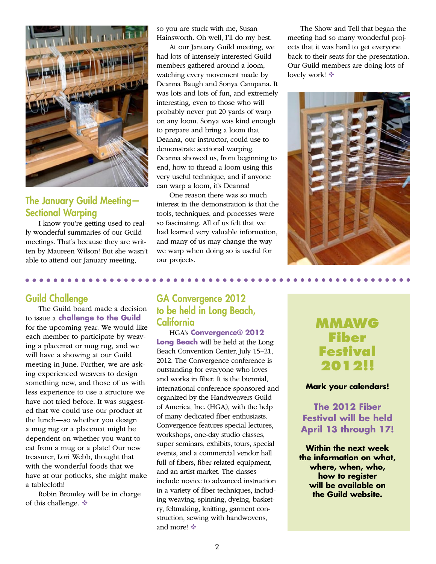

#### The January Guild Meeting— Sectional Warping

I know you're getting used to really wonderful summaries of our Guild meetings. That's because they are written by Maureen Wilson! But she wasn't able to attend our January meeting,

. . . . . . . . . . . .

#### Guild Challenge

The Guild board made a decision to issue a **challenge to the Guild** for the upcoming year. We would like each member to participate by weaving a placemat or mug rug, and we will have a showing at our Guild meeting in June. Further, we are asking experienced weavers to design something new, and those of us with less experience to use a structure we have not tried before. It was suggested that we could use our product at the lunch—so whether you design a mug rug or a placemat might be dependent on whether you want to eat from a mug or a plate! Our new treasurer, Lori Webb, thought that with the wonderful foods that we have at our potlucks, she might make a tablecloth!

Robin Bromley will be in charge of this challenge.

so you are stuck with me, Susan Hainsworth. Oh well, I'll do my best.

At our January Guild meeting, we had lots of intensely interested Guild members gathered around a loom, watching every movement made by Deanna Baugh and Sonya Campana. It was lots and lots of fun, and extremely interesting, even to those who will probably never put 20 yards of warp on any loom. Sonya was kind enough to prepare and bring a loom that Deanna, our instructor, could use to demonstrate sectional warping. Deanna showed us, from beginning to end, how to thread a loom using this very useful technique, and if anyone can warp a loom, it's Deanna!

One reason there was so much interest in the demonstration is that the tools, techniques, and processes were so fascinating. All of us felt that we had learned very valuable information, and many of us may change the way we warp when doing so is useful for our projects.

The Show and Tell that began the meeting had so many wonderful projects that it was hard to get everyone back to their seats for the presentation. Our Guild members are doing lots of lovely work! ❖



#### GA Convergence 2012 to be held in Long Beach, **California**

HGA's **Convergence® 2012 Long Beach** will be held at the Long Beach Convention Center, July 15–21, 2012. The Convergence conference is outstanding for everyone who loves and works in fiber. It is the biennial, international conference sponsored and organized by the Handweavers Guild of America, Inc. (HGA), with the help of many dedicated fiber enthusiasts. Convergence features special lectures, workshops, one-day studio classes, super seminars, exhibits, tours, special events, and a commercial vendor hall full of fibers, fiber-related equipment, and an artist market. The classes include novice to advanced instruction in a variety of fiber techniques, including weaving, spinning, dyeing, basketry, feltmaking, knitting, garment construction, sewing with handwovens, and more! ❖

## **MMAWG Fiber Festival 2012!!**

#### **Mark your calendars!**

**The 2012 Fiber Festival will be held April 13 through 17!**

**Within the next week the information on what, where, when, who, how to register will be available on the Guild website.**